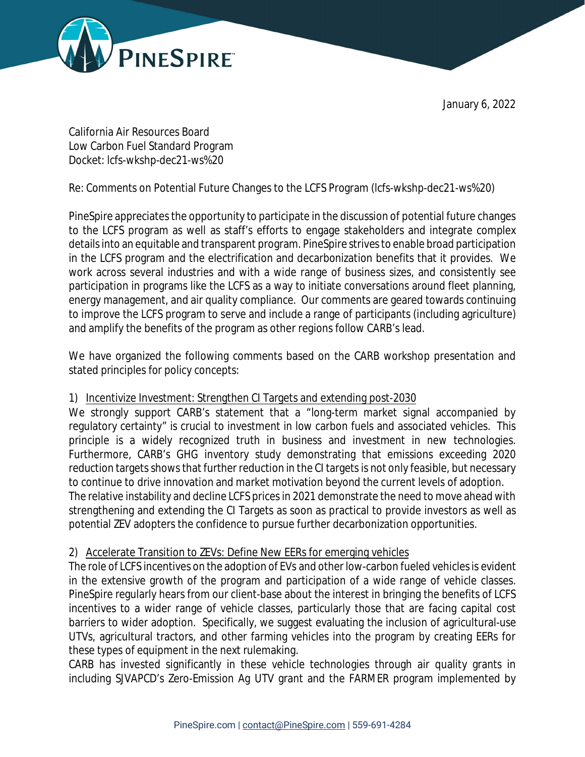



California Air Resources Board Low Carbon Fuel Standard Program Docket: lcfs-wkshp-dec21-ws%20

Re: Comments on Potential Future Changes to the LCFS Program (lcfs-wkshp-dec21-ws%20)

PineSpire appreciates the opportunity to participate in the discussion of potential future changes to the LCFS program as well as staff's efforts to engage stakeholders and integrate complex details into an equitable and transparent program. PineSpire strives to enable broad participation in the LCFS program and the electrification and decarbonization benefits that it provides. We work across several industries and with a wide range of business sizes, and consistently see participation in programs like the LCFS as a way to initiate conversations around fleet planning, energy management, and air quality compliance. Our comments are geared towards continuing to improve the LCFS program to serve and include a range of participants (including agriculture) and amplify the benefits of the program as other regions follow CARB's lead.

We have organized the following comments based on the CARB workshop presentation and stated principles for policy concepts:

## 1) Incentivize Investment: Strengthen CI Targets and extending post-2030

We strongly support CARB's statement that a "long-term market signal accompanied by regulatory certainty" is crucial to investment in low carbon fuels and associated vehicles. This principle is a widely recognized truth in business and investment in new technologies. Furthermore, CARB's GHG inventory study demonstrating that emissions exceeding 2020 reduction targets shows that further reduction in the CI targets is not only feasible, but necessary to continue to drive innovation and market motivation beyond the current levels of adoption. The relative instability and decline LCFS prices in 2021 demonstrate the need to move ahead with strengthening and extending the CI Targets as soon as practical to provide investors as well as potential ZEV adopters the confidence to pursue further decarbonization opportunities.

## 2) Accelerate Transition to ZEVs: Define New EERs for emerging vehicles

The role of LCFS incentives on the adoption of EVs and other low-carbon fueled vehicles is evident in the extensive growth of the program and participation of a wide range of vehicle classes. PineSpire regularly hears from our client-base about the interest in bringing the benefits of LCFS incentives to a wider range of vehicle classes, particularly those that are facing capital cost barriers to wider adoption. Specifically, we suggest evaluating the inclusion of agricultural-use UTVs, agricultural tractors, and other farming vehicles into the program by creating EERs for these types of equipment in the next rulemaking.

CARB has invested significantly in these vehicle technologies through air quality grants in including SJVAPCD's Zero-Emission Ag UTV grant and the FARMER program implemented by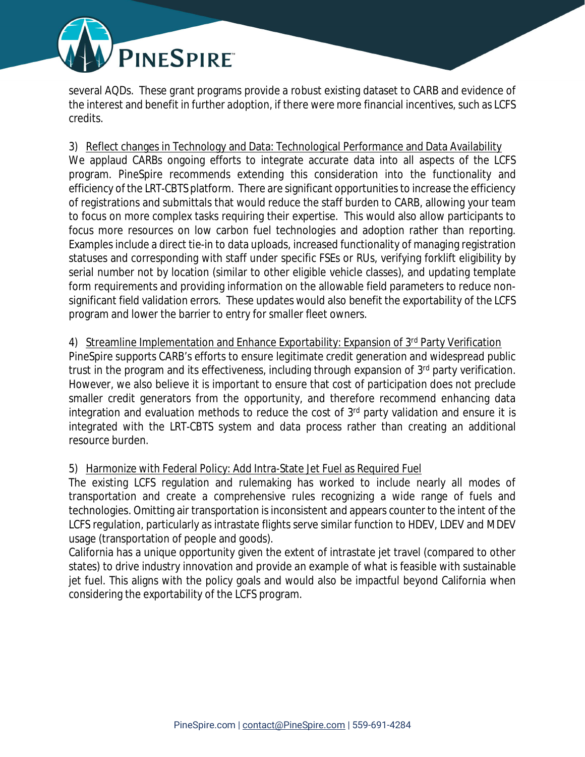

several AQDs. These grant programs provide a robust existing dataset to CARB and evidence of the interest and benefit in further adoption, if there were more financial incentives, such as LCFS credits.

3) Reflect changes in Technology and Data: Technological Performance and Data Availability We applaud CARBs ongoing efforts to integrate accurate data into all aspects of the LCFS program. PineSpire recommends extending this consideration into the functionality and efficiency of the LRT-CBTS platform. There are significant opportunities to increase the efficiency of registrations and submittals that would reduce the staff burden to CARB, allowing your team to focus on more complex tasks requiring their expertise. This would also allow participants to focus more resources on low carbon fuel technologies and adoption rather than reporting. Examples include a direct tie-in to data uploads, increased functionality of managing registration statuses and corresponding with staff under specific FSEs or RUs, verifying forklift eligibility by serial number not by location (similar to other eligible vehicle classes), and updating template form requirements and providing information on the allowable field parameters to reduce nonsignificant field validation errors. These updates would also benefit the exportability of the LCFS program and lower the barrier to entry for smaller fleet owners.

## 4) Streamline Implementation and Enhance Exportability: Expansion of 3<sup>rd</sup> Party Verification

PineSpire supports CARB's efforts to ensure legitimate credit generation and widespread public trust in the program and its effectiveness, including through expansion of 3rd party verification. However, we also believe it is important to ensure that cost of participation does not preclude smaller credit generators from the opportunity, and therefore recommend enhancing data integration and evaluation methods to reduce the cost of 3rd party validation and ensure it is integrated with the LRT-CBTS system and data process rather than creating an additional resource burden.

## 5) Harmonize with Federal Policy: Add Intra-State Jet Fuel as Required Fuel

The existing LCFS regulation and rulemaking has worked to include nearly all modes of transportation and create a comprehensive rules recognizing a wide range of fuels and technologies. Omitting air transportation is inconsistent and appears counter to the intent of the LCFS regulation, particularly as intrastate flights serve similar function to HDEV, LDEV and MDEV usage (transportation of people and goods).

California has a unique opportunity given the extent of intrastate jet travel (compared to other states) to drive industry innovation and provide an example of what is feasible with sustainable jet fuel. This aligns with the policy goals and would also be impactful beyond California when considering the exportability of the LCFS program.